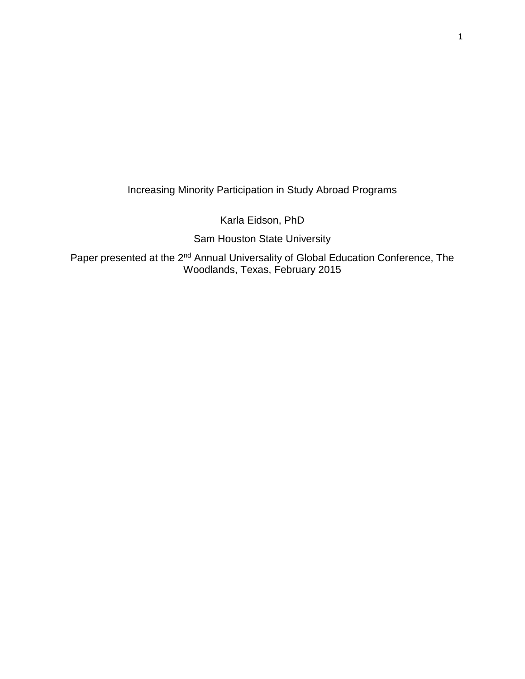Increasing Minority Participation in Study Abroad Programs

Karla Eidson, PhD

Sam Houston State University

Paper presented at the 2<sup>nd</sup> Annual Universality of Global Education Conference, The Woodlands, Texas, February 2015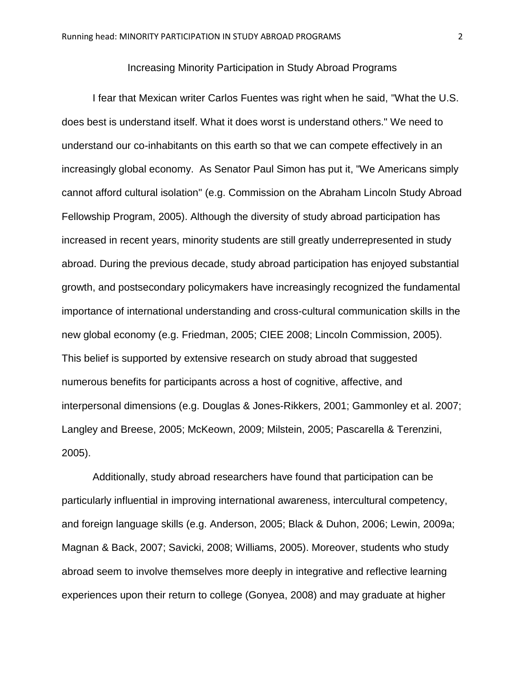## Increasing Minority Participation in Study Abroad Programs

I fear that Mexican writer Carlos Fuentes was right when he said, "What the U.S. does best is understand itself. What it does worst is understand others." We need to understand our co-inhabitants on this earth so that we can compete effectively in an increasingly global economy. As Senator Paul Simon has put it, "We Americans simply cannot afford cultural isolation" (e.g. Commission on the Abraham Lincoln Study Abroad Fellowship Program, 2005). Although the diversity of study abroad participation has increased in recent years, minority students are still greatly underrepresented in study abroad. During the previous decade, study abroad participation has enjoyed substantial growth, and postsecondary policymakers have increasingly recognized the fundamental importance of international understanding and cross-cultural communication skills in the new global economy (e.g. Friedman, 2005; CIEE 2008; Lincoln Commission, 2005). This belief is supported by extensive research on study abroad that suggested numerous benefits for participants across a host of cognitive, affective, and interpersonal dimensions (e.g. Douglas & Jones-Rikkers, 2001; Gammonley et al. 2007; Langley and Breese, 2005; McKeown, 2009; Milstein, 2005; Pascarella & Terenzini, 2005).

Additionally, study abroad researchers have found that participation can be particularly influential in improving international awareness, intercultural competency, and foreign language skills (e.g. Anderson, 2005; Black & Duhon, 2006; Lewin, 2009a; Magnan & Back, 2007; Savicki, 2008; Williams, 2005). Moreover, students who study abroad seem to involve themselves more deeply in integrative and reflective learning experiences upon their return to college (Gonyea, 2008) and may graduate at higher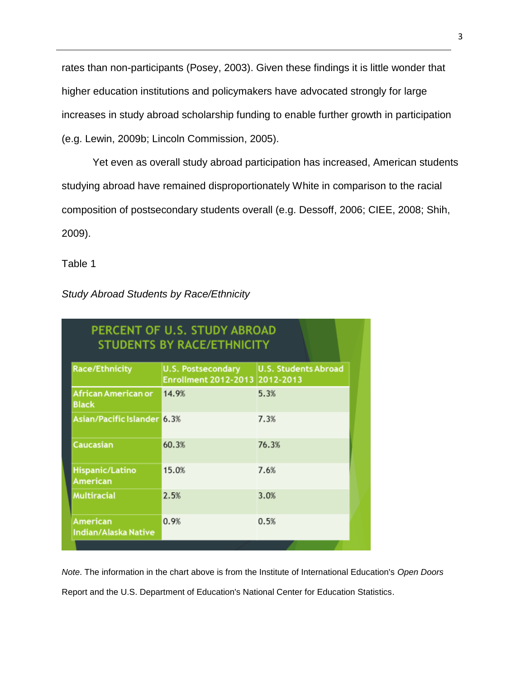rates than non-participants (Posey, 2003). Given these findings it is little wonder that higher education institutions and policymakers have advocated strongly for large increases in study abroad scholarship funding to enable further growth in participation (e.g. Lewin, 2009b; Lincoln Commission, 2005).

Yet even as overall study abroad participation has increased, American students studying abroad have remained disproportionately White in comparison to the racial composition of postsecondary students overall (e.g. Dessoff, 2006; CIEE, 2008; Shih, 2009).

Table 1

| <b>Study Abroad Students by Race/Ethnicity</b> |  |
|------------------------------------------------|--|
|                                                |  |

| PERCENT OF U.S. STUDY ABROAD<br><b>STUDENTS BY RACE/ETHNICITY</b> |                             |  |
|-------------------------------------------------------------------|-----------------------------|--|
| <b>U.S. Postsecondary</b><br>Enrollment 2012-2013 2012-2013       | <b>U.S. Students Abroad</b> |  |
| 14.9%                                                             | 5.3%                        |  |
|                                                                   | 7.3%                        |  |
| 60.3%                                                             | 76.3%                       |  |
| 15.0%                                                             | 7.6%                        |  |
| 2.5%                                                              | 3.0%                        |  |
| 0.9%                                                              | 0.5%                        |  |
|                                                                   | Asian/Pacific Islander 6.3% |  |

*Note*. The information in the chart above is from the Institute of International Education's *Open Doors*  Report and the U.S. Department of Education's National Center for Education Statistics.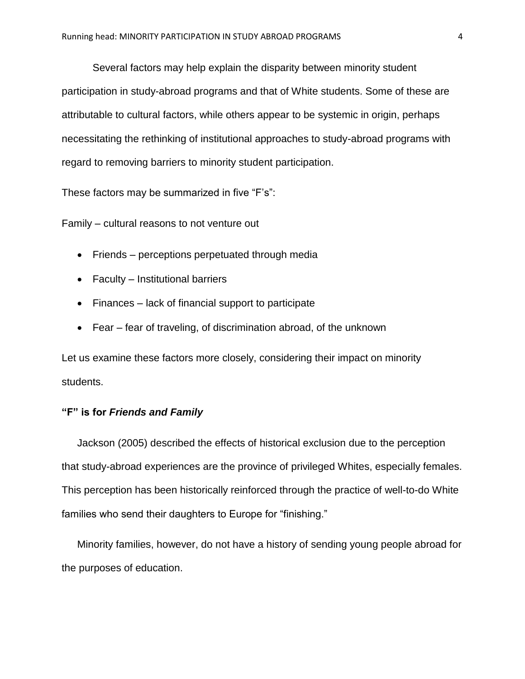Several factors may help explain the disparity between minority student participation in study-abroad programs and that of White students. Some of these are attributable to cultural factors, while others appear to be systemic in origin, perhaps necessitating the rethinking of institutional approaches to study-abroad programs with regard to removing barriers to minority student participation.

These factors may be summarized in five "F's":

Family – cultural reasons to not venture out

- Friends perceptions perpetuated through media
- Faculty Institutional barriers
- Finances lack of financial support to participate
- Fear fear of traveling, of discrimination abroad, of the unknown

Let us examine these factors more closely, considering their impact on minority students.

# **"F" is for** *Friends and Family*

Jackson (2005) described the effects of historical exclusion due to the perception that study-abroad experiences are the province of privileged Whites, especially females. This perception has been historically reinforced through the practice of well-to-do White families who send their daughters to Europe for "finishing."

Minority families, however, do not have a history of sending young people abroad for the purposes of education.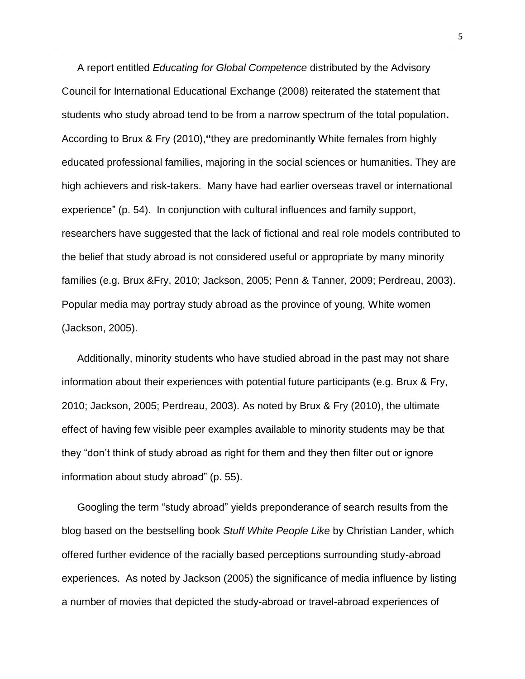A report entitled *Educating for Global Competence* distributed by the Advisory Council for International Educational Exchange (2008) reiterated the statement that students who study abroad tend to be from a narrow spectrum of the total population**.**  According to Brux & Fry (2010),**"**they are predominantly White females from highly educated professional families, majoring in the social sciences or humanities. They are high achievers and risk-takers. Many have had earlier overseas travel or international experience" (p. 54). In conjunction with cultural influences and family support, researchers have suggested that the lack of fictional and real role models contributed to the belief that study abroad is not considered useful or appropriate by many minority families (e.g. Brux &Fry, 2010; Jackson, 2005; Penn & Tanner, 2009; Perdreau, 2003). Popular media may portray study abroad as the province of young, White women (Jackson, 2005).

Additionally, minority students who have studied abroad in the past may not share information about their experiences with potential future participants (e.g. Brux & Fry, 2010; Jackson, 2005; Perdreau, 2003). As noted by Brux & Fry (2010), the ultimate effect of having few visible peer examples available to minority students may be that they "don't think of study abroad as right for them and they then filter out or ignore information about study abroad" (p. 55).

Googling the term "study abroad" yields preponderance of search results from the blog based on the bestselling book *Stuff White People Like* by Christian Lander, which offered further evidence of the racially based perceptions surrounding study-abroad experiences. As noted by Jackson (2005) the significance of media influence by listing a number of movies that depicted the study-abroad or travel-abroad experiences of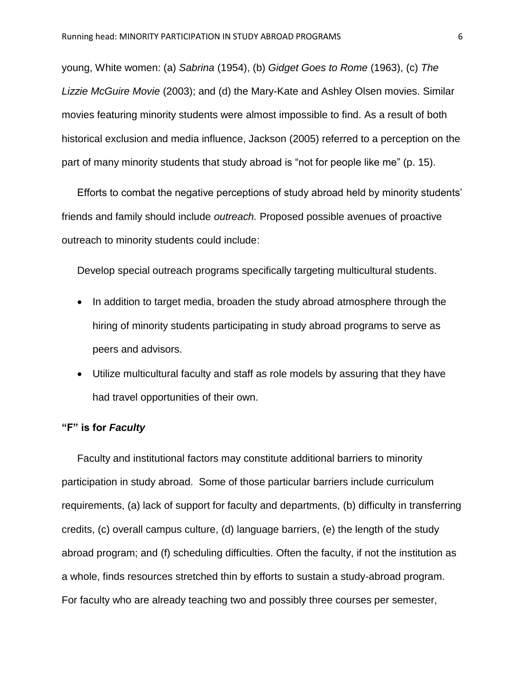young, White women: (a) *Sabrina* (1954), (b) *Gidget Goes to Rome* (1963), (c) *The Lizzie McGuire Movie* (2003); and (d) the Mary-Kate and Ashley Olsen movies. Similar movies featuring minority students were almost impossible to find. As a result of both historical exclusion and media influence, Jackson (2005) referred to a perception on the part of many minority students that study abroad is "not for people like me" (p. 15).

Efforts to combat the negative perceptions of study abroad held by minority students' friends and family should include *outreach.* Proposed possible avenues of proactive outreach to minority students could include:

Develop special outreach programs specifically targeting multicultural students.

- In addition to target media, broaden the study abroad atmosphere through the hiring of minority students participating in study abroad programs to serve as peers and advisors.
- Utilize multicultural faculty and staff as role models by assuring that they have had travel opportunities of their own.

### **"F" is for** *Faculty*

Faculty and institutional factors may constitute additional barriers to minority participation in study abroad. Some of those particular barriers include curriculum requirements, (a) lack of support for faculty and departments, (b) difficulty in transferring credits, (c) overall campus culture, (d) language barriers, (e) the length of the study abroad program; and (f) scheduling difficulties. Often the faculty, if not the institution as a whole, finds resources stretched thin by efforts to sustain a study-abroad program. For faculty who are already teaching two and possibly three courses per semester,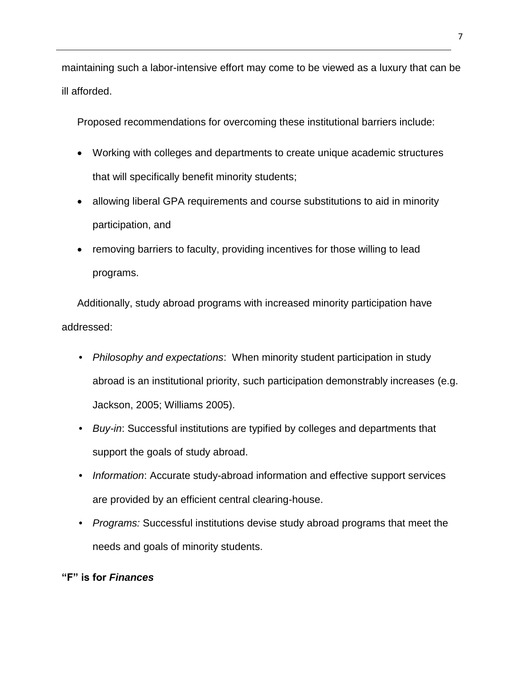maintaining such a labor-intensive effort may come to be viewed as a luxury that can be ill afforded.

Proposed recommendations for overcoming these institutional barriers include:

- Working with colleges and departments to create unique academic structures that will specifically benefit minority students;
- allowing liberal GPA requirements and course substitutions to aid in minority participation, and
- removing barriers to faculty, providing incentives for those willing to lead programs.

Additionally, study abroad programs with increased minority participation have addressed:

- *Philosophy and expectations*: When minority student participation in study abroad is an institutional priority, such participation demonstrably increases (e.g. Jackson, 2005; Williams 2005).
- *Buy-in*: Successful institutions are typified by colleges and departments that support the goals of study abroad.
- *Information*: Accurate study-abroad information and effective support services are provided by an efficient central clearing-house.
- *Programs:* Successful institutions devise study abroad programs that meet the needs and goals of minority students.

# **"F" is for** *Finances*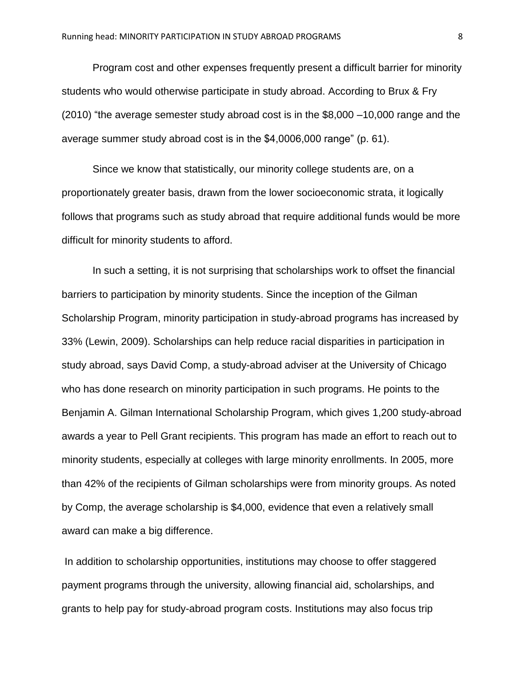Program cost and other expenses frequently present a difficult barrier for minority students who would otherwise participate in study abroad. According to Brux & Fry (2010) "the average semester study abroad cost is in the \$8,000 –10,000 range and the average summer study abroad cost is in the \$4,0006,000 range" (p. 61).

Since we know that statistically, our minority college students are, on a proportionately greater basis, drawn from the lower socioeconomic strata, it logically follows that programs such as study abroad that require additional funds would be more difficult for minority students to afford.

In such a setting, it is not surprising that scholarships work to offset the financial barriers to participation by minority students. Since the inception of the Gilman Scholarship Program, minority participation in study-abroad programs has increased by 33% (Lewin, 2009). Scholarships can help reduce racial disparities in participation in study abroad, says David Comp, a study-abroad adviser at the University of Chicago who has done research on minority participation in such programs. He points to the Benjamin A. Gilman International Scholarship Program, which gives 1,200 study-abroad awards a year to Pell Grant recipients. This program has made an effort to reach out to minority students, especially at colleges with large minority enrollments. In 2005, more than 42% of the recipients of Gilman scholarships were from minority groups. As noted by Comp, the average scholarship is \$4,000, evidence that even a relatively small award can make a big difference.

In addition to scholarship opportunities, institutions may choose to offer staggered payment programs through the university, allowing financial aid, scholarships, and grants to help pay for study-abroad program costs. Institutions may also focus trip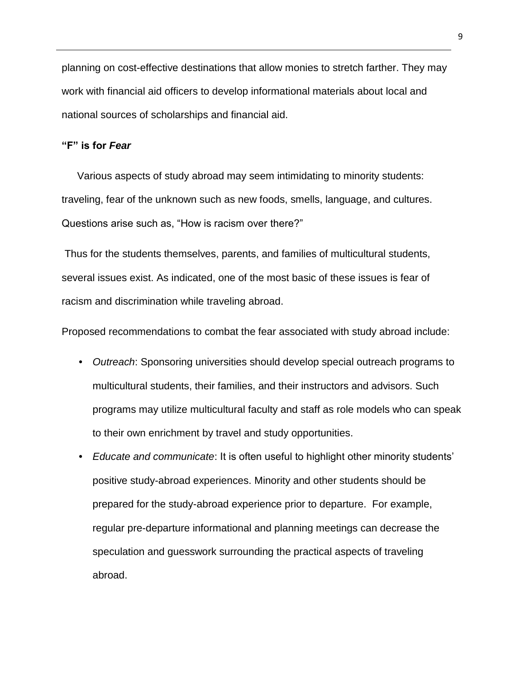planning on cost-effective destinations that allow monies to stretch farther. They may work with financial aid officers to develop informational materials about local and national sources of scholarships and financial aid.

### **"F" is for** *Fear*

Various aspects of study abroad may seem intimidating to minority students: traveling, fear of the unknown such as new foods, smells, language, and cultures. Questions arise such as, "How is racism over there?"

Thus for the students themselves, parents, and families of multicultural students, several issues exist. As indicated, one of the most basic of these issues is fear of racism and discrimination while traveling abroad.

Proposed recommendations to combat the fear associated with study abroad include:

- *Outreach*: Sponsoring universities should develop special outreach programs to multicultural students, their families, and their instructors and advisors. Such programs may utilize multicultural faculty and staff as role models who can speak to their own enrichment by travel and study opportunities.
- *Educate and communicate*: It is often useful to highlight other minority students' positive study-abroad experiences. Minority and other students should be prepared for the study-abroad experience prior to departure. For example, regular pre-departure informational and planning meetings can decrease the speculation and guesswork surrounding the practical aspects of traveling abroad.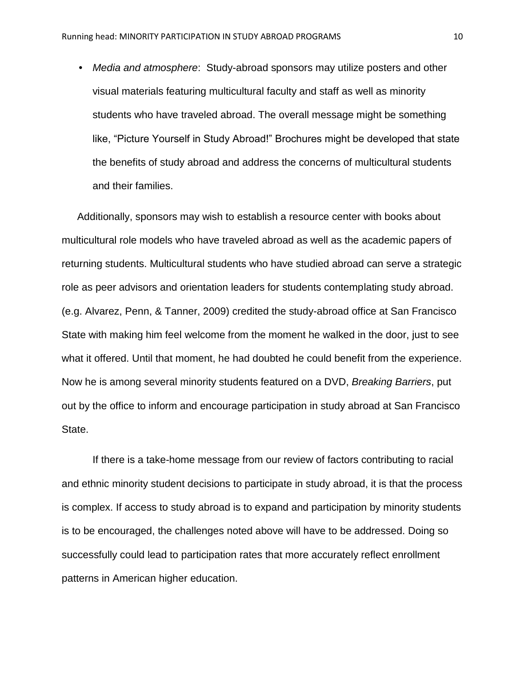• *Media and atmosphere*: Study-abroad sponsors may utilize posters and other visual materials featuring multicultural faculty and staff as well as minority students who have traveled abroad. The overall message might be something like, "Picture Yourself in Study Abroad!" Brochures might be developed that state the benefits of study abroad and address the concerns of multicultural students and their families.

Additionally, sponsors may wish to establish a resource center with books about multicultural role models who have traveled abroad as well as the academic papers of returning students. Multicultural students who have studied abroad can serve a strategic role as peer advisors and orientation leaders for students contemplating study abroad. (e.g. Alvarez, Penn, & Tanner, 2009) credited the study-abroad office at San Francisco State with making him feel welcome from the moment he walked in the door, just to see what it offered. Until that moment, he had doubted he could benefit from the experience. Now he is among several minority students featured on a DVD, *Breaking Barriers*, put out by the office to inform and encourage participation in study abroad at San Francisco State.

If there is a take-home message from our review of factors contributing to racial and ethnic minority student decisions to participate in study abroad, it is that the process is complex. If access to study abroad is to expand and participation by minority students is to be encouraged, the challenges noted above will have to be addressed. Doing so successfully could lead to participation rates that more accurately reflect enrollment patterns in American higher education.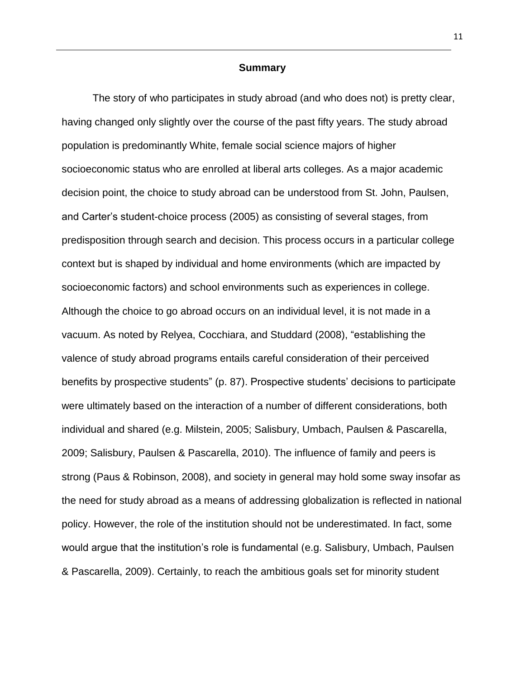### **Summary**

The story of who participates in study abroad (and who does not) is pretty clear, having changed only slightly over the course of the past fifty years. The study abroad population is predominantly White, female social science majors of higher socioeconomic status who are enrolled at liberal arts colleges. As a major academic decision point, the choice to study abroad can be understood from St. John, Paulsen, and Carter's student-choice process (2005) as consisting of several stages, from predisposition through search and decision. This process occurs in a particular college context but is shaped by individual and home environments (which are impacted by socioeconomic factors) and school environments such as experiences in college. Although the choice to go abroad occurs on an individual level, it is not made in a vacuum. As noted by Relyea, Cocchiara, and Studdard (2008), "establishing the valence of study abroad programs entails careful consideration of their perceived benefits by prospective students" (p. 87). Prospective students' decisions to participate were ultimately based on the interaction of a number of different considerations, both individual and shared (e.g. Milstein, 2005; Salisbury, Umbach, Paulsen & Pascarella, 2009; Salisbury, Paulsen & Pascarella, 2010). The influence of family and peers is strong (Paus & Robinson, 2008), and society in general may hold some sway insofar as the need for study abroad as a means of addressing globalization is reflected in national policy. However, the role of the institution should not be underestimated. In fact, some would argue that the institution's role is fundamental (e.g. Salisbury, Umbach, Paulsen & Pascarella, 2009). Certainly, to reach the ambitious goals set for minority student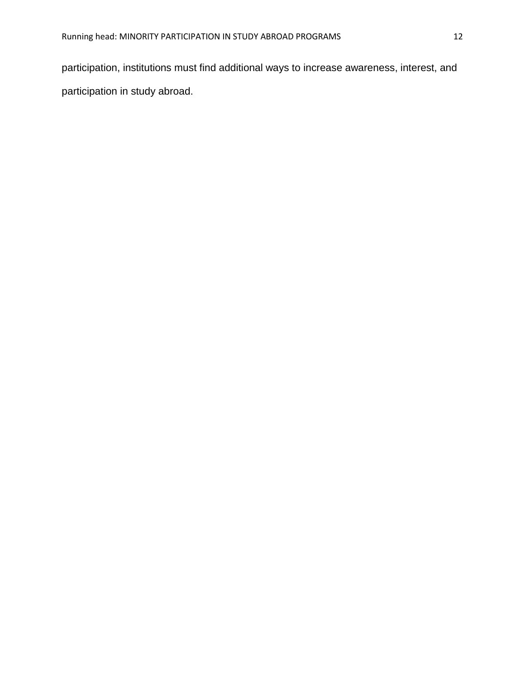participation, institutions must find additional ways to increase awareness, interest, and participation in study abroad.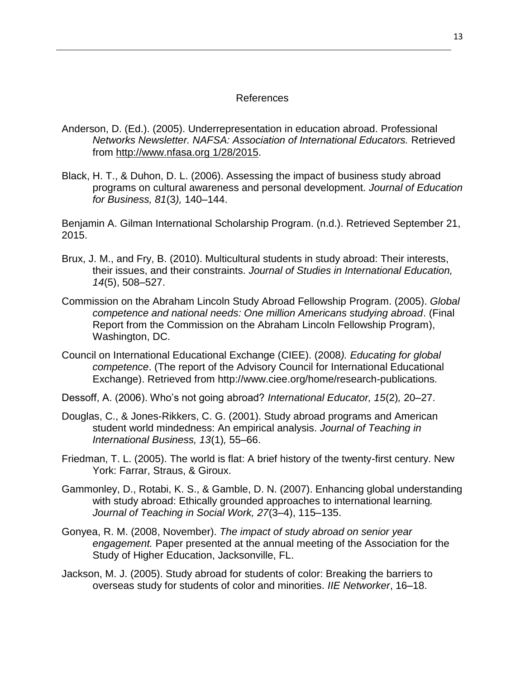## References

- Anderson, D. (Ed.). (2005). Underrepresentation in education abroad. Professional *Networks Newsletter. NAFSA: Association of International Educators.* Retrieved from [http://www.nfasa.org](http://www.nfasa.org/) 1/28/2015.
- Black, H. T., & Duhon, D. L. (2006). Assessing the impact of business study abroad programs on cultural awareness and personal development. *Journal of Education for Business, 81*(3*),* 140–144.

Benjamin A. Gilman International Scholarship Program. (n.d.). Retrieved September 21, 2015.

- Brux, J. M., and Fry, B. (2010). Multicultural students in study abroad: Their interests, their issues, and their constraints. *Journal of Studies in International Education, 14*(5), 508–527.
- Commission on the Abraham Lincoln Study Abroad Fellowship Program. (2005). *Global competence and national needs: One million Americans studying abroad*. (Final Report from the Commission on the Abraham Lincoln Fellowship Program), Washington, DC.
- Council on International Educational Exchange (CIEE). (2008*). Educating for global competence*. (The report of the Advisory Council for International Educational Exchange). Retrieved from http://www.ciee.org/home/research-publications.
- Dessoff, A. (2006). Who's not going abroad? *International Educator, 15*(2)*,* 20–27.
- Douglas, C., & Jones-Rikkers, C. G. (2001). Study abroad programs and American student world mindedness: An empirical analysis. *Journal of Teaching in International Business, 13*(1)*,* 55–66.
- Friedman, T. L. (2005). The world is flat: A brief history of the twenty-first century. New York: Farrar, Straus, & Giroux.
- Gammonley, D., Rotabi, K. S., & Gamble, D. N. (2007). Enhancing global understanding with study abroad: Ethically grounded approaches to international learning*. Journal of Teaching in Social Work, 27*(3–4), 115–135.
- Gonyea, R. M. (2008, November). *The impact of study abroad on senior year engagement.* Paper presented at the annual meeting of the Association for the Study of Higher Education, Jacksonville, FL.
- Jackson, M. J. (2005). Study abroad for students of color: Breaking the barriers to overseas study for students of color and minorities. *IIE Networker*, 16–18.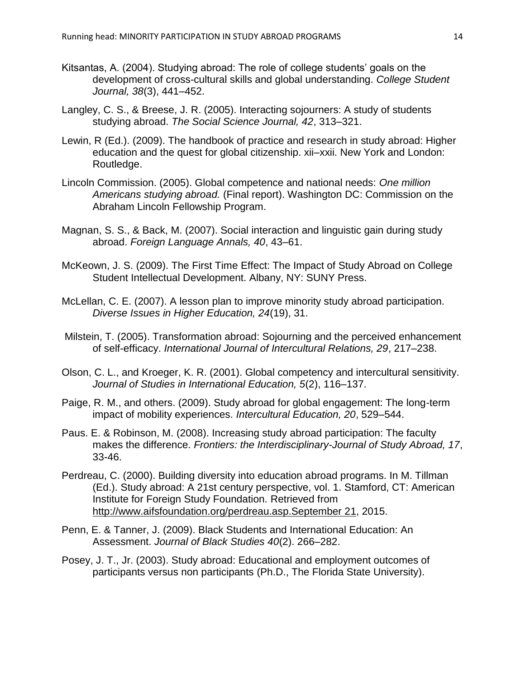- Kitsantas, A. (2004). Studying abroad: The role of college students' goals on the development of cross-cultural skills and global understanding. *College Student Journal, 38*(3), 441–452.
- Langley, C. S., & Breese, J. R. (2005). Interacting sojourners: A study of students studying abroad. *The Social Science Journal, 42*, 313–321.
- Lewin, R (Ed.). (2009). The handbook of practice and research in study abroad: Higher education and the quest for global citizenship. xii–xxii. New York and London: Routledge.
- Lincoln Commission. (2005). Global competence and national needs: *One million Americans studying abroad.* (Final report). Washington DC: Commission on the Abraham Lincoln Fellowship Program.
- Magnan, S. S., & Back, M. (2007). Social interaction and linguistic gain during study abroad. *Foreign Language Annals, 40*, 43–61.
- McKeown, J. S. (2009). The First Time Effect: The Impact of Study Abroad on College Student Intellectual Development. Albany, NY: SUNY Press.
- McLellan, C. E. (2007). A lesson plan to improve minority study abroad participation. *Diverse Issues in Higher Education, 24*(19), 31.
- Milstein, T. (2005). Transformation abroad: Sojourning and the perceived enhancement of self-efficacy. *International Journal of Intercultural Relations, 29*, 217–238.
- Olson, C. L., and Kroeger, K. R. (2001). Global competency and intercultural sensitivity. *Journal of Studies in International Education, 5*(2), 116–137.
- Paige, R. M., and others. (2009). Study abroad for global engagement: The long-term impact of mobility experiences. *Intercultural Education, 20*, 529–544.
- Paus. E. & Robinson, M. (2008). Increasing study abroad participation: The faculty makes the difference. *Frontiers: the Interdisciplinary-Journal of Study Abroad, 17*, 33-46.
- Perdreau, C. (2000). Building diversity into education abroad programs. In M. Tillman (Ed.). Study abroad: A 21st century perspective, vol. 1. Stamford, CT: American Institute for Foreign Study Foundation. Retrieved from [http://www.aifsfoundation.org/perdreau.asp.September 21,](http://www.aifsfoundation.org/perdreau.asp.September%2021) 2015.
- Penn, E. & Tanner, J. (2009). Black Students and International Education: An Assessment. *Journal of Black Studies 40*(2). 266–282.
- Posey, J. T., Jr. (2003). Study abroad: Educational and employment outcomes of participants versus non participants (Ph.D., The Florida State University).